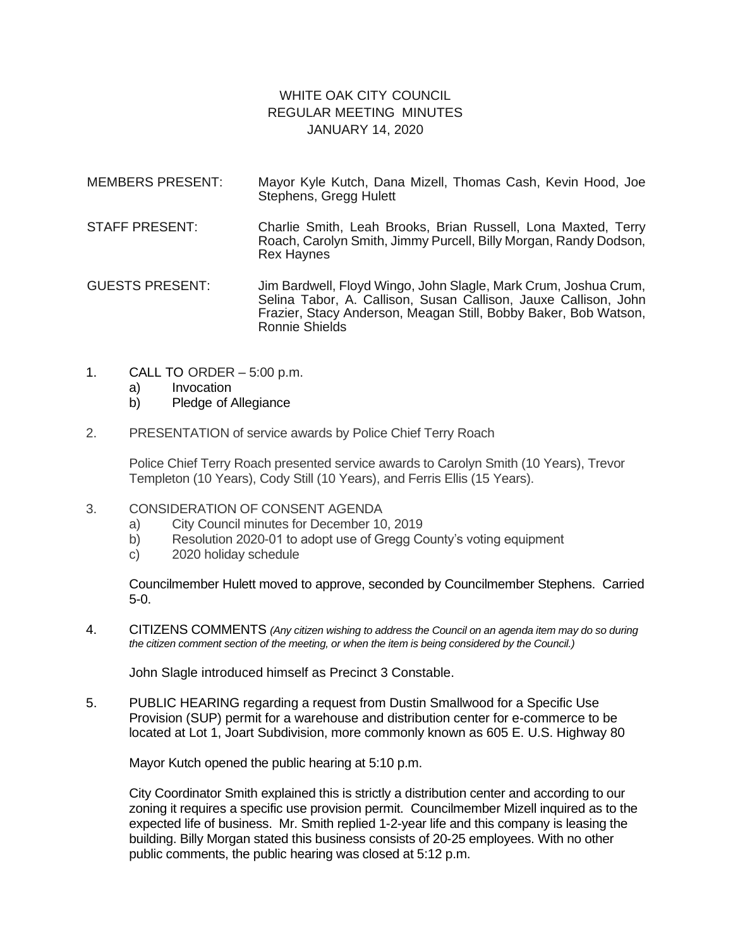## WHITE OAK CITY COUNCIL REGULAR MEETING MINUTES JANUARY 14, 2020

- MEMBERS PRESENT: Mayor Kyle Kutch, Dana Mizell, Thomas Cash, Kevin Hood, Joe Stephens, Gregg Hulett
- STAFF PRESENT: Charlie Smith, Leah Brooks, Brian Russell, Lona Maxted, Terry Roach, Carolyn Smith, Jimmy Purcell, Billy Morgan, Randy Dodson, Rex Haynes

GUESTS PRESENT: Jim Bardwell, Floyd Wingo, John Slagle, Mark Crum, Joshua Crum, Selina Tabor, A. Callison, Susan Callison, Jauxe Callison, John Frazier, Stacy Anderson, Meagan Still, Bobby Baker, Bob Watson, Ronnie Shields

- 1. CALL TO ORDER 5:00 p.m.
	- a) Invocation
	- b) Pledge of Allegiance
- 2. PRESENTATION of service awards by Police Chief Terry Roach

Police Chief Terry Roach presented service awards to Carolyn Smith (10 Years), Trevor Templeton (10 Years), Cody Still (10 Years), and Ferris Ellis (15 Years).

- 3. CONSIDERATION OF CONSENT AGENDA
	- a) City Council minutes for December 10, 2019
	- b) Resolution 2020-01 to adopt use of Gregg County's voting equipment
	- c) 2020 holiday schedule

Councilmember Hulett moved to approve, seconded by Councilmember Stephens. Carried 5-0.

4. CITIZENS COMMENTS *(Any citizen wishing to address the Council on an agenda item may do so during the citizen comment section of the meeting, or when the item is being considered by the Council.)*

John Slagle introduced himself as Precinct 3 Constable.

5. PUBLIC HEARING regarding a request from Dustin Smallwood for a Specific Use Provision (SUP) permit for a warehouse and distribution center for e-commerce to be located at Lot 1, Joart Subdivision, more commonly known as 605 E. U.S. Highway 80

Mayor Kutch opened the public hearing at 5:10 p.m.

City Coordinator Smith explained this is strictly a distribution center and according to our zoning it requires a specific use provision permit. Councilmember Mizell inquired as to the expected life of business. Mr. Smith replied 1-2-year life and this company is leasing the building. Billy Morgan stated this business consists of 20-25 employees. With no other public comments, the public hearing was closed at 5:12 p.m.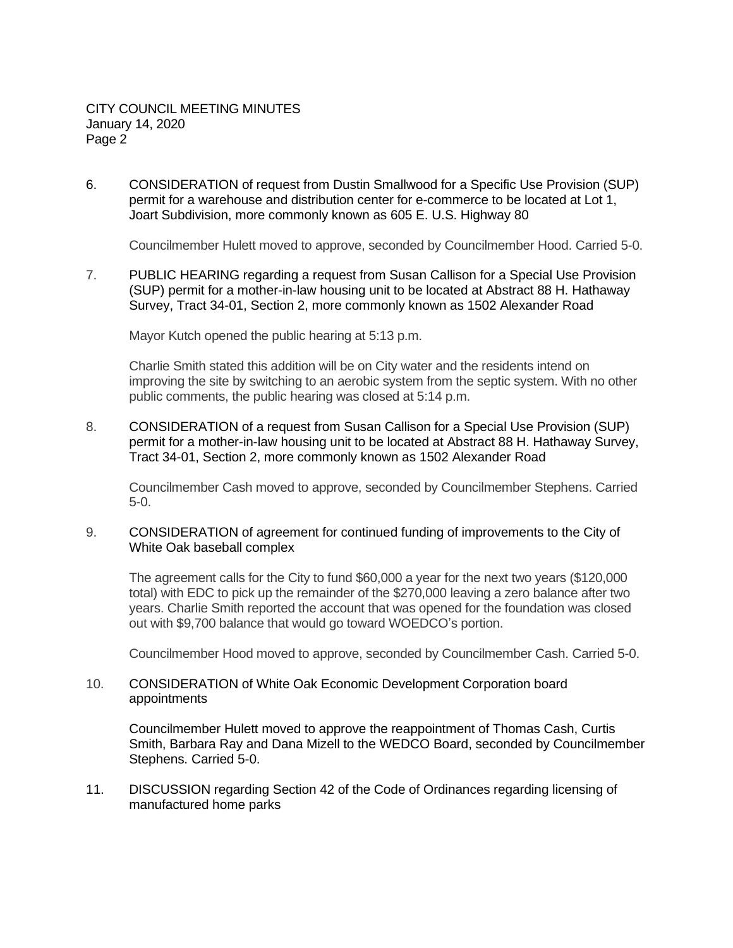6. CONSIDERATION of request from Dustin Smallwood for a Specific Use Provision (SUP) permit for a warehouse and distribution center for e-commerce to be located at Lot 1, Joart Subdivision, more commonly known as 605 E. U.S. Highway 80

Councilmember Hulett moved to approve, seconded by Councilmember Hood. Carried 5-0.

7. PUBLIC HEARING regarding a request from Susan Callison for a Special Use Provision (SUP) permit for a mother-in-law housing unit to be located at Abstract 88 H. Hathaway Survey, Tract 34-01, Section 2, more commonly known as 1502 Alexander Road

Mayor Kutch opened the public hearing at 5:13 p.m.

Charlie Smith stated this addition will be on City water and the residents intend on improving the site by switching to an aerobic system from the septic system. With no other public comments, the public hearing was closed at 5:14 p.m.

8. CONSIDERATION of a request from Susan Callison for a Special Use Provision (SUP) permit for a mother-in-law housing unit to be located at Abstract 88 H. Hathaway Survey, Tract 34-01, Section 2, more commonly known as 1502 Alexander Road

Councilmember Cash moved to approve, seconded by Councilmember Stephens. Carried 5-0.

9. CONSIDERATION of agreement for continued funding of improvements to the City of White Oak baseball complex

The agreement calls for the City to fund \$60,000 a year for the next two years (\$120,000 total) with EDC to pick up the remainder of the \$270,000 leaving a zero balance after two years. Charlie Smith reported the account that was opened for the foundation was closed out with \$9,700 balance that would go toward WOEDCO's portion.

Councilmember Hood moved to approve, seconded by Councilmember Cash. Carried 5-0.

10. CONSIDERATION of White Oak Economic Development Corporation board appointments

Councilmember Hulett moved to approve the reappointment of Thomas Cash, Curtis Smith, Barbara Ray and Dana Mizell to the WEDCO Board, seconded by Councilmember Stephens. Carried 5-0.

11. DISCUSSION regarding Section 42 of the Code of Ordinances regarding licensing of manufactured home parks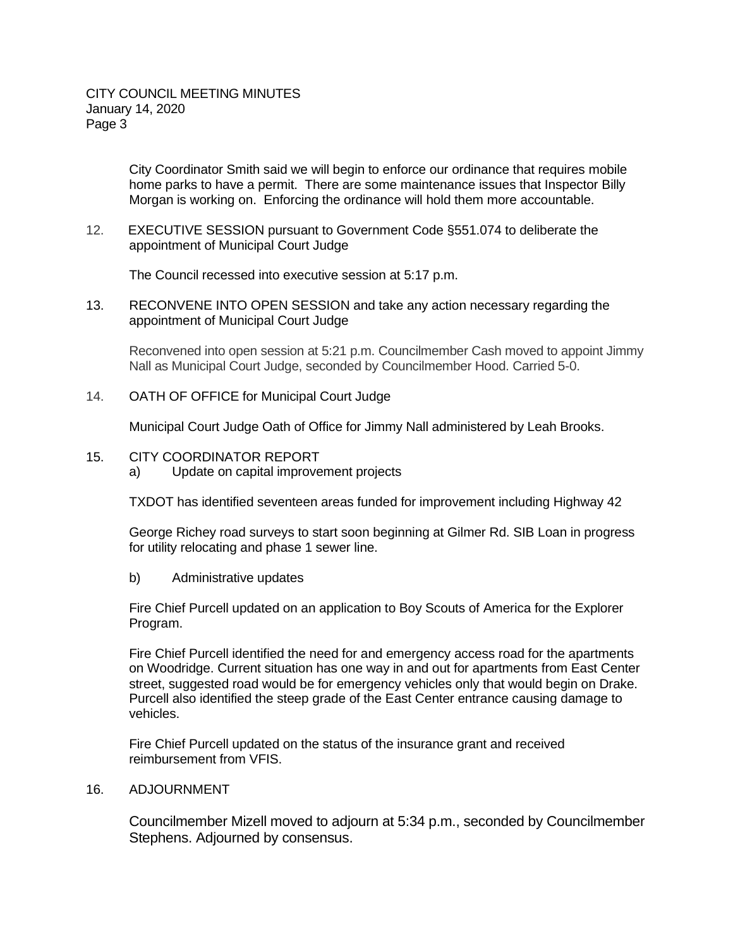City Coordinator Smith said we will begin to enforce our ordinance that requires mobile home parks to have a permit. There are some maintenance issues that Inspector Billy Morgan is working on. Enforcing the ordinance will hold them more accountable.

12. EXECUTIVE SESSION pursuant to Government Code §551.074 to deliberate the appointment of Municipal Court Judge

The Council recessed into executive session at 5:17 p.m.

13. RECONVENE INTO OPEN SESSION and take any action necessary regarding the appointment of Municipal Court Judge

Reconvened into open session at 5:21 p.m. Councilmember Cash moved to appoint Jimmy Nall as Municipal Court Judge, seconded by Councilmember Hood. Carried 5-0.

14. OATH OF OFFICE for Municipal Court Judge

Municipal Court Judge Oath of Office for Jimmy Nall administered by Leah Brooks.

## 15. CITY COORDINATOR REPORT

a) Update on capital improvement projects

TXDOT has identified seventeen areas funded for improvement including Highway 42

George Richey road surveys to start soon beginning at Gilmer Rd. SIB Loan in progress for utility relocating and phase 1 sewer line.

b) Administrative updates

Fire Chief Purcell updated on an application to Boy Scouts of America for the Explorer Program.

Fire Chief Purcell identified the need for and emergency access road for the apartments on Woodridge. Current situation has one way in and out for apartments from East Center street, suggested road would be for emergency vehicles only that would begin on Drake. Purcell also identified the steep grade of the East Center entrance causing damage to vehicles.

Fire Chief Purcell updated on the status of the insurance grant and received reimbursement from VFIS.

## 16. ADJOURNMENT

Councilmember Mizell moved to adjourn at 5:34 p.m., seconded by Councilmember Stephens. Adjourned by consensus.